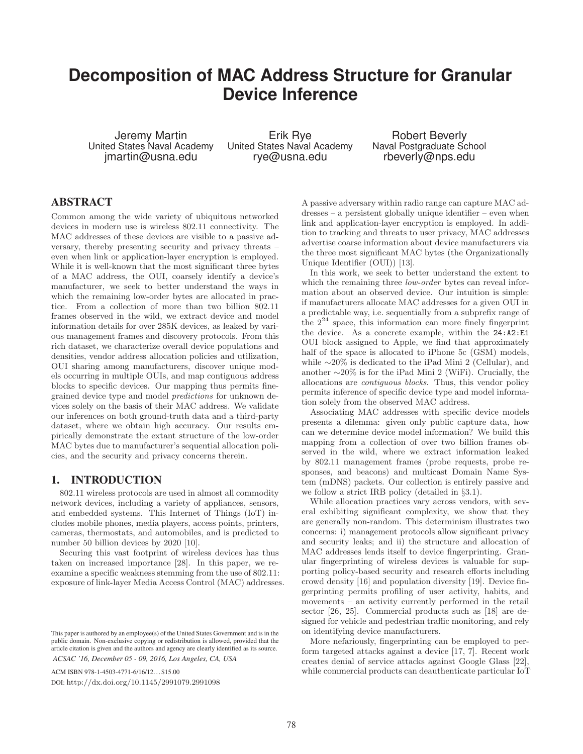# **Decomposition of MAC Address Structure for Granular Device Inference**

Jeremy Martin United States Naval Academy jmartin@usna.edu

Erik Rye United States Naval Academy rye@usna.edu

Robert Beverly Naval Postgraduate School rbeverly@nps.edu

# ABSTRACT

Common among the wide variety of ubiquitous networked devices in modern use is wireless 802.11 connectivity. The MAC addresses of these devices are visible to a passive adversary, thereby presenting security and privacy threats – even when link or application-layer encryption is employed. While it is well-known that the most significant three bytes of a MAC address, the OUI, coarsely identify a device's manufacturer, we seek to better understand the ways in which the remaining low-order bytes are allocated in practice. From a collection of more than two billion 802.11 frames observed in the wild, we extract device and model information details for over 285K devices, as leaked by various management frames and discovery protocols. From this rich dataset, we characterize overall device populations and densities, vendor address allocation policies and utilization, OUI sharing among manufacturers, discover unique models occurring in multiple OUIs, and map contiguous address blocks to specific devices. Our mapping thus permits finegrained device type and model *predictions* for unknown devices solely on the basis of their MAC address. We validate our inferences on both ground-truth data and a third-party dataset, where we obtain high accuracy. Our results empirically demonstrate the extant structure of the low-order MAC bytes due to manufacturer's sequential allocation policies, and the security and privacy concerns therein.

# 1. INTRODUCTION

802.11 wireless protocols are used in almost all commodity network devices, including a variety of appliances, sensors, and embedded systems. This Internet of Things (IoT) includes mobile phones, media players, access points, printers, cameras, thermostats, and automobiles, and is predicted to number 50 billion devices by 2020 [10].

Securing this vast footprint of wireless devices has thus taken on increased importance [28]. In this paper, we reexamine a specific weakness stemming from the use of 802.11: exposure of link-layer Media Access Control (MAC) addresses.

ACM ISBN 978-1-4503-4771-6/16/12. . . \$15.00 DOI: http://dx.doi.org/10.1145/2991079.2991098

A passive adversary within radio range can capture MAC addresses – a persistent globally unique identifier – even when link and application-layer encryption is employed. In addition to tracking and threats to user privacy, MAC addresses advertise coarse information about device manufacturers via the three most significant MAC bytes (the Organizationally Unique Identifier (OUI)) [13].

In this work, we seek to better understand the extent to which the remaining three *low-order* bytes can reveal information about an observed device. Our intuition is simple: if manufacturers allocate MAC addresses for a given OUI in a predictable way, i.e. sequentially from a subprefix range of the  $2^{24}$  space, this information can more finely fingerprint the device. As a concrete example, within the 24:A2:E1 OUI block assigned to Apple, we find that approximately half of the space is allocated to iPhone 5c (GSM) models, while ∼20% is dedicated to the iPad Mini 2 (Cellular), and another ∼20% is for the iPad Mini 2 (WiFi). Crucially, the allocations are *contiguous blocks*. Thus, this vendor policy permits inference of specific device type and model information solely from the observed MAC address.

Associating MAC addresses with specific device models presents a dilemma: given only public capture data, how can we determine device model information? We build this mapping from a collection of over two billion frames observed in the wild, where we extract information leaked by 802.11 management frames (probe requests, probe responses, and beacons) and multicast Domain Name System (mDNS) packets. Our collection is entirely passive and we follow a strict IRB policy (detailed in *§*3.1).

While allocation practices vary across vendors, with several exhibiting significant complexity, we show that they are generally non-random. This determinism illustrates two concerns: i) management protocols allow significant privacy and security leaks; and ii) the structure and allocation of MAC addresses lends itself to device fingerprinting. Granular fingerprinting of wireless devices is valuable for supporting policy-based security and research efforts including crowd density [16] and population diversity [19]. Device fingerprinting permits profiling of user activity, habits, and movements – an activity currently performed in the retail sector [26, 25]. Commercial products such as [18] are designed for vehicle and pedestrian traffic monitoring, and rely on identifying device manufacturers.

More nefariously, fingerprinting can be employed to perform targeted attacks against a device [17, 7]. Recent work creates denial of service attacks against Google Glass [22], while commercial products can deauthenticate particular IoT

This paper is authored by an employee(s) of the United States Government and is in the public domain. Non-exclusive copying or redistribution is allowed, provided that the article citation is given and the authors and agency are clearly identified as its source. *ACSAC '16, December 05 - 09, 2016, Los Angeles, CA, USA*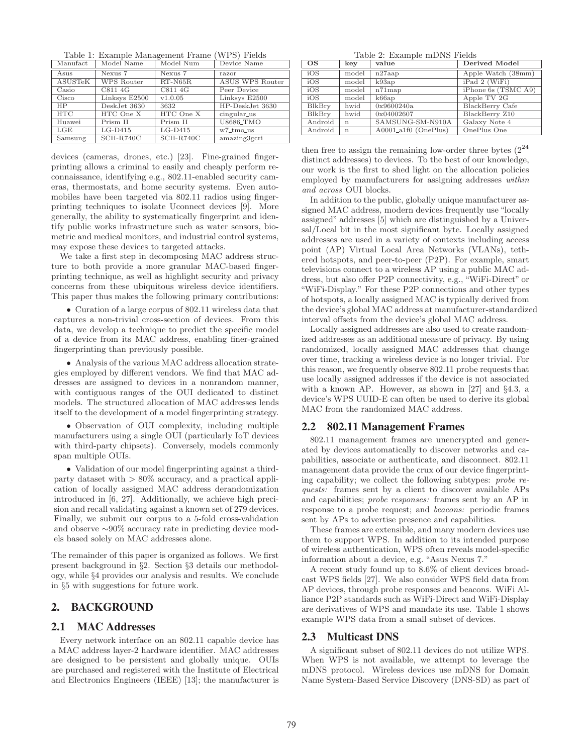Table 1: Example Management Frame (WPS) Fields

| Manufact  | Model Name        | Model Num   | Device Name            |
|-----------|-------------------|-------------|------------------------|
|           |                   |             |                        |
| Asus      | Nexus 7           | Nexus 7     | razor                  |
| ASUSTeK   | <b>WPS Router</b> | $RT-NG5R$   | <b>ASUS WPS Router</b> |
| Casio     | C811 4G           | C811 4G     | Peer Device            |
| Cisco     | Linksys E2500     | v1.0.05     | Linksys E2500          |
| <b>HP</b> | $DeskJet$ 3630    | 3632        | HP-DeskJet 3630        |
| HTC       | HTC One X         | HTC One X   | cingular_us            |
| Huawei    | Prism II          | Prism II    | <b>U8686_TMO</b>       |
| LGE       | $LG-D415$         | $LG-D415$   | w7_tmo_us              |
| Samsung   | $SCH-R740C$       | $SCH-R740C$ | amazing3gcri           |

devices (cameras, drones, etc.) [23]. Fine-grained fingerprinting allows a criminal to easily and cheaply perform reconnaissance, identifying e.g., 802.11-enabled security cameras, thermostats, and home security systems. Even automobiles have been targeted via 802.11 radios using fingerprinting techniques to isolate Uconnect devices [9]. More generally, the ability to systematically fingerprint and identify public works infrastructure such as water sensors, biometric and medical monitors, and industrial control systems, may expose these devices to targeted attacks.

We take a first step in decomposing MAC address structure to both provide a more granular MAC-based fingerprinting technique, as well as highlight security and privacy concerns from these ubiquitous wireless device identifiers. This paper thus makes the following primary contributions:

*•* Curation of a large corpus of 802.11 wireless data that captures a non-trivial cross-section of devices. From this data, we develop a technique to predict the specific model of a device from its MAC address, enabling finer-grained fingerprinting than previously possible.

*•* Analysis of the various MAC address allocation strategies employed by different vendors. We find that MAC addresses are assigned to devices in a nonrandom manner, with contiguous ranges of the OUI dedicated to distinct models. The structured allocation of MAC addresses lends itself to the development of a model fingerprinting strategy.

*•* Observation of OUI complexity, including multiple manufacturers using a single OUI (particularly IoT devices with third-party chipsets). Conversely, models commonly span multiple OUIs.

*•* Validation of our model fingerprinting against a thirdparty dataset with *>* 80% accuracy, and a practical application of locally assigned MAC address derandomization introduced in [6, 27]. Additionally, we achieve high precision and recall validating against a known set of 279 devices. Finally, we submit our corpus to a 5-fold cross-validation and observe ∼90% accuracy rate in predicting device models based solely on MAC addresses alone.

The remainder of this paper is organized as follows. We first present background in *§*2. Section *§*3 details our methodology, while *§*4 provides our analysis and results. We conclude in *§*5 with suggestions for future work.

# 2. BACKGROUND

## 2.1 MAC Addresses

Every network interface on an 802.11 capable device has a MAC address layer-2 hardware identifier. MAC addresses are designed to be persistent and globally unique. OUIs are purchased and registered with the Institute of Electrical and Electronics Engineers (IEEE) [13]; the manufacturer is

Table 2: Example mDNS Fields

| <b>OS</b>     | key         | value                                | Derived Model       |
|---------------|-------------|--------------------------------------|---------------------|
| iOS           | model       | $n27$ aap                            | Apple Watch (38mm)  |
| iOS           | model       | k93ap                                | iPad 2 (WiFi)       |
| iOS           | model       | $n71$ map                            | iPhone 6s (TSMC A9) |
| iOS           | model       | k66ap                                | Apple TV 2G         |
| <b>BlkBry</b> | hwid        | 0x9600240a                           | BlackBerry Cafe     |
| BlkBry        | hwid        | 0x04002607                           | BlackBerry Z10      |
| Android       | $\mathbf n$ | SAMSUNG-SM-N910A                     | Galaxy Note 4       |
| Android       | $\mathbf n$ | $A0001$ <sub>-a1f0</sub> $(OnePlus)$ | OnePlus One         |

then free to assign the remaining low-order three bytes  $(2^{24}$ distinct addresses) to devices. To the best of our knowledge, our work is the first to shed light on the allocation policies employed by manufacturers for assigning addresses *within and across* OUI blocks.

In addition to the public, globally unique manufacturer assigned MAC address, modern devices frequently use "locally assigned" addresses [5] which are distinguished by a Universal/Local bit in the most significant byte. Locally assigned addresses are used in a variety of contexts including access point (AP) Virtual Local Area Networks (VLANs), tethered hotspots, and peer-to-peer (P2P). For example, smart televisions connect to a wireless AP using a public MAC address, but also offer P2P connectivity, e.g., "WiFi-Direct" or "WiFi-Display." For these P2P connections and other types of hotspots, a locally assigned MAC is typically derived from the device's global MAC address at manufacturer-standardized interval offsets from the device's global MAC address.

Locally assigned addresses are also used to create randomized addresses as an additional measure of privacy. By using randomized, locally assigned MAC addresses that change over time, tracking a wireless device is no longer trivial. For this reason, we frequently observe 802.11 probe requests that use locally assigned addresses if the device is not associated with a known AP. However, as shown in [27] and *§*4.3, a device's WPS UUID-E can often be used to derive its global MAC from the randomized MAC address.

## 2.2 802.11 Management Frames

802.11 management frames are unencrypted and generated by devices automatically to discover networks and capabilities, associate or authenticate, and disconnect. 802.11 management data provide the crux of our device fingerprinting capability; we collect the following subtypes: *probe requests:* frames sent by a client to discover available APs and capabilities; *probe responses:* frames sent by an AP in response to a probe request; and *beacons:* periodic frames sent by APs to advertise presence and capabilities.

These frames are extensible, and many modern devices use them to support WPS. In addition to its intended purpose of wireless authentication, WPS often reveals model-specific information about a device, e.g. "Asus Nexus 7."

A recent study found up to 8*.*6% of client devices broadcast WPS fields [27]. We also consider WPS field data from AP devices, through probe responses and beacons. WiFi Alliance P2P standards such as WiFi-Direct and WiFi-Display are derivatives of WPS and mandate its use. Table 1 shows example WPS data from a small subset of devices.

#### 2.3 Multicast DNS

A significant subset of 802.11 devices do not utilize WPS. When WPS is not available, we attempt to leverage the mDNS protocol. Wireless devices use mDNS for Domain Name System-Based Service Discovery (DNS-SD) as part of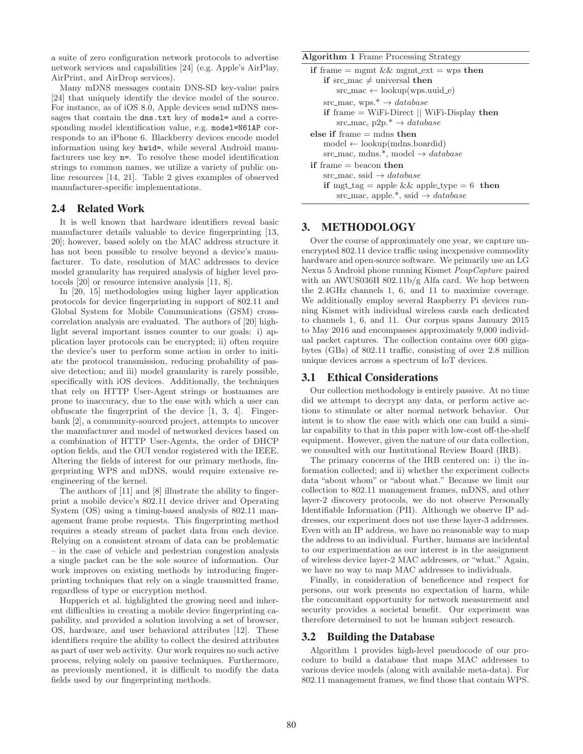a suite of zero configuration network protocols to advertise network services and capabilities [24] (e.g. Apple's AirPlay, AirPrint, and AirDrop services).

Many mDNS messages contain DNS-SD key-value pairs [24] that uniquely identify the device model of the source. For instance, as of iOS 8.0, Apple devices send mDNS messages that contain the dns.txt key of model= and a corresponding model identification value, e.g. model=N61AP corresponds to an iPhone 6. Blackberry devices encode model information using key hwid=, while several Android manufacturers use key n=. To resolve these model identification strings to common names, we utilize a variety of public online resources [14, 21]. Table 2 gives examples of observed manufacturer-specific implementations.

# 2.4 Related Work

It is well known that hardware identifiers reveal basic manufacturer details valuable to device fingerprinting [13, 20]; however, based solely on the MAC address structure it has not been possible to resolve beyond a device's manufacturer. To date, resolution of MAC addresses to device model granularity has required analysis of higher level protocols [20] or resource intensive analysis [11, 8].

In [20, 15] methodologies using higher layer application protocols for device fingerprinting in support of 802.11 and Global System for Mobile Communications (GSM) crosscorrelation analysis are evaluated. The authors of [20] highlight several important issues counter to our goals: i) application layer protocols can be encrypted; ii) often require the device's user to perform some action in order to initiate the protocol transmission, reducing probability of passive detection; and iii) model granularity is rarely possible, specifically with iOS devices. Additionally, the techniques that rely on HTTP User-Agent strings or hostnames are prone to inaccuracy, due to the ease with which a user can obfuscate the fingerprint of the device [1, 3, 4]. Fingerbank [2], a community-sourced project, attempts to uncover the manufacturer and model of networked devices based on a combination of HTTP User-Agents, the order of DHCP option fields, and the OUI vendor registered with the IEEE. Altering the fields of interest for our primary methods, fingerprinting WPS and mDNS, would require extensive reengineering of the kernel.

The authors of [11] and [8] illustrate the ability to fingerprint a mobile device's 802.11 device driver and Operating System (OS) using a timing-based analysis of 802.11 management frame probe requests. This fingerprinting method requires a steady stream of packet data from each device. Relying on a consistent stream of data can be problematic – in the case of vehicle and pedestrian congestion analysis a single packet can be the sole source of information. Our work improves on existing methods by introducing fingerprinting techniques that rely on a single transmitted frame, regardless of type or encryption method.

Hupperich et al. highlighted the growing need and inherent difficulties in creating a mobile device fingerprinting capability, and provided a solution involving a set of browser, OS, hardware, and user behavioral attributes [12]. These identifiers require the ability to collect the desired attributes as part of user web activity. Our work requires no such active process, relying solely on passive techniques. Furthermore, as previously mentioned, it is difficult to modify the data fields used by our fingerprinting methods.

Algorithm 1 Frame Processing Strategy

```
if frame = mgmt && mgmt_ext = wps then
   if src_mac \neq universal then
       src\_mac \leftarrow lookup(wps.uuid_e)src_mac, wps.<sup>*</sup> \rightarrow database
   if frame = WiFi-Direct || WiFi-Display then
       src_mac, p2p.* \rightarrow databaseelse if frame = mdns then
   model \leftarrow lookup(mdns.bcardid)src mac, mdns.*, model → database
if frame = beacon then
   src_mac, ssid \rightarrow database
   if mgt_tag = apple && apple_type = 6 then
       src_mac, apple.*, ssid \rightarrow database
```
# 3. METHODOLOGY

Over the course of approximately one year, we capture unencrypted 802.11 device traffic using inexpensive commodity hardware and open-source software. We primarily use an LG Nexus 5 Android phone running Kismet *PcapCapture* paired with an AWUS036H 802.11b/g Alfa card. We hop between the 2.4GHz channels 1, 6, and 11 to maximize coverage. We additionally employ several Raspberry Pi devices running Kismet with individual wireless cards each dedicated to channels 1, 6, and 11. Our corpus spans January 2015 to May 2016 and encompasses approximately 9,000 individual packet captures. The collection contains over 600 gigabytes (GBs) of 802.11 traffic, consisting of over 2.8 million unique devices across a spectrum of IoT devices.

## 3.1 Ethical Considerations

Our collection methodology is entirely passive. At no time did we attempt to decrypt any data, or perform active actions to stimulate or alter normal network behavior. Our intent is to show the ease with which one can build a similar capability to that in this paper with low-cost off-the-shelf equipment. However, given the nature of our data collection, we consulted with our Institutional Review Board (IRB).

The primary concerns of the IRB centered on: i) the information collected; and ii) whether the experiment collects data "about whom" or "about what." Because we limit our collection to 802.11 management frames, mDNS, and other layer-2 discovery protocols, we do not observe Personally Identifiable Information (PII). Although we observe IP addresses, our experiment does not use these layer-3 addresses. Even with an IP address, we have no reasonable way to map the address to an individual. Further, humans are incidental to our experimentation as our interest is in the assignment of wireless device layer-2 MAC addresses, or "what." Again, we have no way to map MAC addresses to individuals.

Finally, in consideration of beneficence and respect for persons, our work presents no expectation of harm, while the concomitant opportunity for network measurement and security provides a societal benefit. Our experiment was therefore determined to not be human subject research.

## 3.2 Building the Database

Algorithm 1 provides high-level pseudocode of our procedure to build a database that maps MAC addresses to various device models (along with available meta-data). For 802.11 management frames, we find those that contain WPS.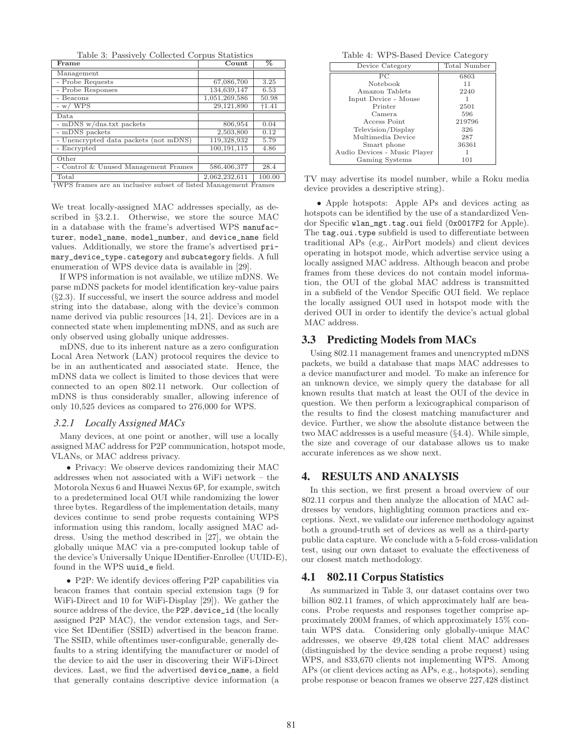Table 3: Passively Collected Corpus Statistics

| Frame                                                                       | Count         | %       |  |  |
|-----------------------------------------------------------------------------|---------------|---------|--|--|
| Management                                                                  |               |         |  |  |
| - Probe Requests                                                            | 67,086,700    | 3.25    |  |  |
| - Probe Responses                                                           | 134,639,147   | 6.53    |  |  |
| - Beacons                                                                   | 1,051,269,586 | 50.98   |  |  |
| $-w$ / WPS                                                                  | 29,121,890    | $+1.41$ |  |  |
| Data                                                                        |               |         |  |  |
| - mDNS w/dns.txt packets                                                    | 806,954       | 0.04    |  |  |
| - mDNS packets                                                              | 2,503,800     | 0.12    |  |  |
| Unencrypted data packets (not mDNS)                                         | 119,328,932   | 5.79    |  |  |
| Encrypted                                                                   | 100,191,115   | 4.86    |  |  |
| Other                                                                       |               |         |  |  |
| Control & Unused Management Frames                                          | 586,406,377   | 28.4    |  |  |
| Total                                                                       | 2,062,232,611 | 100.00  |  |  |
| <sup>†</sup> WPS frames are an inclusive subset of listed Management Frames |               |         |  |  |

We treat locally-assigned MAC addresses specially, as described in *§*3.2.1. Otherwise, we store the source MAC in a database with the frame's advertised WPS manufacturer, model\_name, model\_number, and device\_name field values. Additionally, we store the frame's advertised primary\_device\_type.category and subcategory fields. A full enumeration of WPS device data is available in [29].

If WPS information is not available, we utilize mDNS. We parse mDNS packets for model identification key-value pairs (*§*2.3). If successful, we insert the source address and model string into the database, along with the device's common name derived via public resources [14, 21]. Devices are in a connected state when implementing mDNS, and as such are only observed using globally unique addresses.

mDNS, due to its inherent nature as a zero configuration Local Area Network (LAN) protocol requires the device to be in an authenticated and associated state. Hence, the mDNS data we collect is limited to those devices that were connected to an open 802.11 network. Our collection of mDNS is thus considerably smaller, allowing inference of only 10,525 devices as compared to 276,000 for WPS.

#### *3.2.1 Locally Assigned MACs*

Many devices, at one point or another, will use a locally assigned MAC address for P2P communication, hotspot mode, VLANs, or MAC address privacy.

• Privacy: We observe devices randomizing their MAC addresses when not associated with a WiFi network – the Motorola Nexus 6 and Huawei Nexus 6P, for example, switch to a predetermined local OUI while randomizing the lower three bytes. Regardless of the implementation details, many devices continue to send probe requests containing WPS information using this random, locally assigned MAC address. Using the method described in [27], we obtain the globally unique MAC via a pre-computed lookup table of the device's Universally Unique IDentifier-Enrollee (UUID-E), found in the WPS uuid\_e field.

*•* P2P: We identify devices offering P2P capabilities via beacon frames that contain special extension tags (9 for WiFi-Direct and 10 for WiFi-Display [29]). We gather the source address of the device, the P2P.device\_id (the locally assigned P2P MAC), the vendor extension tags, and Service Set IDentifier (SSID) advertised in the beacon frame. The SSID, while oftentimes user-configurable, generally defaults to a string identifying the manufacturer or model of the device to aid the user in discovering their WiFi-Direct devices. Last, we find the advertised device\_name, a field that generally contains descriptive device information (a

Table 4: WPS-Based Device Category

| Device Category              | <b>Total Number</b> |
|------------------------------|---------------------|
| PC                           | 6803                |
| <b>Notebook</b>              | 11                  |
| Amazon Tablets               | 2240                |
| Input Device - Mouse         |                     |
| Printer                      | 2501                |
| Camera                       | 596                 |
| Access Point                 | 219796              |
| Television/Display           | 326                 |
| Multimedia Device            | 287                 |
| Smart phone                  | 36361               |
| Audio Devices - Music Player |                     |
| Gaming Systems               | 101                 |

TV may advertise its model number, while a Roku media device provides a descriptive string).

*•* Apple hotspots: Apple APs and devices acting as hotspots can be identified by the use of a standardized Vendor Specific wlan\_mgt.tag.oui field (0x0017F2 for Apple). The tag.oui.type subfield is used to differentiate between traditional APs (e.g., AirPort models) and client devices operating in hotspot mode, which advertise service using a locally assigned MAC address. Although beacon and probe frames from these devices do not contain model information, the OUI of the global MAC address is transmitted in a subfield of the Vendor Specific OUI field. We replace the locally assigned OUI used in hotspot mode with the derived OUI in order to identify the device's actual global MAC address.

# 3.3 Predicting Models from MACs

Using 802.11 management frames and unencrypted mDNS packets, we build a database that maps MAC addresses to a device manufacturer and model. To make an inference for an unknown device, we simply query the database for all known results that match at least the OUI of the device in question. We then perform a lexicographical comparison of the results to find the closest matching manufacturer and device. Further, we show the absolute distance between the two MAC addresses is a useful measure (*§*4.4). While simple, the size and coverage of our database allows us to make accurate inferences as we show next.

# 4. RESULTS AND ANALYSIS

In this section, we first present a broad overview of our 802.11 corpus and then analyze the allocation of MAC addresses by vendors, highlighting common practices and exceptions. Next, we validate our inference methodology against both a ground-truth set of devices as well as a third-party public data capture. We conclude with a 5-fold cross-validation test, using our own dataset to evaluate the effectiveness of our closest match methodology.

## 4.1 802.11 Corpus Statistics

As summarized in Table 3, our dataset contains over two billion 802.11 frames, of which approximately half are beacons. Probe requests and responses together comprise approximately 200M frames, of which approximately 15% contain WPS data. Considering only globally-unique MAC addresses, we observe 49,428 total client MAC addresses (distinguished by the device sending a probe request) using WPS, and 833,670 clients not implementing WPS. Among APs (or client devices acting as APs, e.g., hotspots), sending probe response or beacon frames we observe 227,428 distinct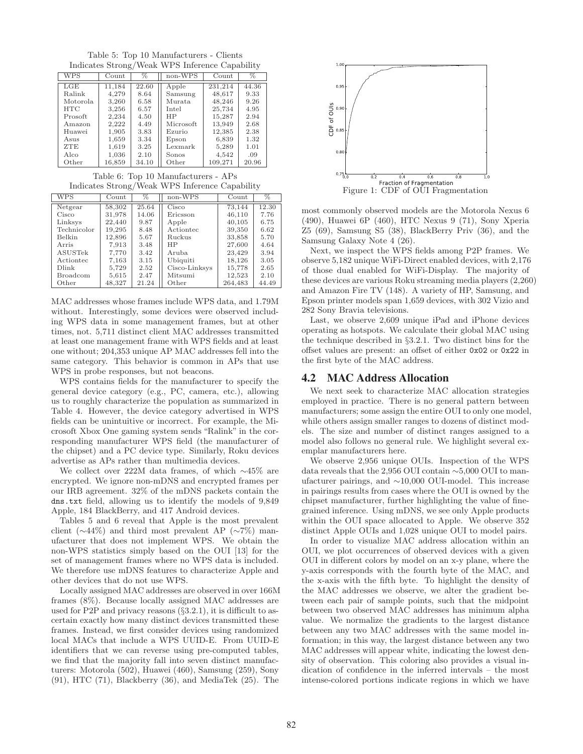Table 5: Top 10 Manufacturers - Clients Indicates Strong/Weak WPS Inference Capability

| WPS        | Count  | $\%$  | non-WPS   | Count   | $\%$  |
|------------|--------|-------|-----------|---------|-------|
| LGE        | 11.184 | 22.60 | Apple     | 231.214 | 44.36 |
| Ralink     | 4.279  | 8.64  | Samsung   | 48,617  | 9.33  |
| Motorola.  | 3,260  | 6.58  | Murata.   | 48,246  | 9.26  |
| <b>HTC</b> | 3,256  | 6.57  | Intel     | 25,734  | 4.95  |
| Prosoft.   | 2.234  | 4.50  | HP        | 15,287  | 2.94  |
| Amazon     | 2,222  | 4.49  | Microsoft | 13,949  | 2.68  |
| Huawei     | 1,905  | 3.83  | Ezurio    | 12,385  | 2.38  |
| Asus       | 1,659  | 3.34  | Epson     | 6,839   | 1.32  |
| <b>ZTE</b> | 1,619  | 3.25  | Lexmark   | 5,289   | 1.01  |
| Alco       | 1,036  | 2.10  | Sonos     | 4,542   | .09   |
| Other      | 16.859 | 34.10 | Other     | 109.271 | 20.96 |

Table 6: Top 10 Manufacturers - APs Indicates Strong/Weak WPS Inference Capability

| <b>WPS</b>      | Count  | $\%$  | non-WPS       | Count   | $\%$  |
|-----------------|--------|-------|---------------|---------|-------|
| Netgear         | 58,302 | 25.64 | Cisco         | 73,144  | 12.30 |
| Cisco           | 31,978 | 14.06 | Ericsson      | 46,110  | 7.76  |
| Linksys         | 22,440 | 9.87  | Apple         | 40,105  | 6.75  |
| Technicolor     | 19,295 | 8.48  | Actiontec     | 39,350  | 6.62  |
| Belkin          | 12,896 | 5.67  | Ruckus        | 33,858  | 5.70  |
| Arris           | 7.913  | 3.48  | HP            | 27,600  | 4.64  |
| ASUSTek         | 7,770  | 3.42  | Aruba.        | 23,429  | 3.94  |
| Actiontec       | 7,163  | 3.15  | Ubiquiti      | 18,126  | 3.05  |
| Dlink           | 5,729  | 2.52  | Cisco-Linksys | 15,778  | 2.65  |
| <b>Broadcom</b> | 5,615  | 2.47  | Mitsumi       | 12,523  | 2.10  |
| Other           | 48,327 | 21.24 | Other         | 264,483 | 44.49 |

MAC addresses whose frames include WPS data, and 1.79M without. Interestingly, some devices were observed including WPS data in some management frames, but at other times, not. 5,711 distinct client MAC addresses transmitted at least one management frame with WPS fields and at least one without; 204,353 unique AP MAC addresses fell into the same category. This behavior is common in APs that use WPS in probe responses, but not beacons.

WPS contains fields for the manufacturer to specify the general device category (e.g., PC, camera, etc.), allowing us to roughly characterize the population as summarized in Table 4. However, the device category advertised in WPS fields can be unintuitive or incorrect. For example, the Microsoft Xbox One gaming system sends "Ralink" in the corresponding manufacturer WPS field (the manufacturer of the chipset) and a PC device type. Similarly, Roku devices advertise as APs rather than multimedia devices.

We collect over 222M data frames, of which  $\sim$ 45% are encrypted. We ignore non-mDNS and encrypted frames per our IRB agreement. 32% of the mDNS packets contain the dns.txt field, allowing us to identify the models of 9,849 Apple, 184 BlackBerry, and 417 Android devices.

Tables 5 and 6 reveal that Apple is the most prevalent client ( $\sim$ 44%) and third most prevalent AP ( $\sim$ 7%) manufacturer that does not implement WPS. We obtain the non-WPS statistics simply based on the OUI [13] for the set of management frames where no WPS data is included. We therefore use mDNS features to characterize Apple and other devices that do not use WPS.

Locally assigned MAC addresses are observed in over 166M frames (8%). Because locally assigned MAC addresses are used for P2P and privacy reasons (*§*3.2.1), it is difficult to ascertain exactly how many distinct devices transmitted these frames. Instead, we first consider devices using randomized local MACs that include a WPS UUID-E. From UUID-E identifiers that we can reverse using pre-computed tables, we find that the majority fall into seven distinct manufacturers: Motorola (502), Huawei (460), Samsung (259), Sony (91), HTC (71), Blackberry (36), and MediaTek (25). The



most commonly observed models are the Motorola Nexus 6 (490), Huawei 6P (460), HTC Nexus 9 (71), Sony Xperia Z5 (69), Samsung S5 (38), BlackBerry Priv (36), and the Samsung Galaxy Note 4 (26).

Next, we inspect the WPS fields among P2P frames. We observe 5,182 unique WiFi-Direct enabled devices, with 2,176 of those dual enabled for WiFi-Display. The majority of these devices are various Roku streaming media players (2,260) and Amazon Fire TV (148). A variety of HP, Samsung, and Epson printer models span 1,659 devices, with 302 Vizio and 282 Sony Bravia televisions.

Last, we observe 2,609 unique iPad and iPhone devices operating as hotspots. We calculate their global MAC using the technique described in *§*3.2.1. Two distinct bins for the offset values are present: an offset of either 0x02 or 0x22 in the first byte of the MAC address.

## 4.2 MAC Address Allocation

We next seek to characterize MAC allocation strategies employed in practice. There is no general pattern between manufacturers; some assign the entire OUI to only one model, while others assign smaller ranges to dozens of distinct models. The size and number of distinct ranges assigned to a model also follows no general rule. We highlight several exemplar manufacturers here.

We observe 2,956 unique OUIs. Inspection of the WPS data reveals that the 2,956 OUI contain ∼5,000 OUI to manufacturer pairings, and ∼10,000 OUI-model. This increase in pairings results from cases where the OUI is owned by the chipset manufacturer, further highlighting the value of finegrained inference. Using mDNS, we see only Apple products within the OUI space allocated to Apple. We observe 352 distinct Apple OUIs and 1,028 unique OUI to model pairs.

In order to visualize MAC address allocation within an OUI, we plot occurrences of observed devices with a given OUI in different colors by model on an x-y plane, where the y-axis corresponds with the fourth byte of the MAC, and the x-axis with the fifth byte. To highlight the density of the MAC addresses we observe, we alter the gradient between each pair of sample points, such that the midpoint between two observed MAC addresses has minimum alpha value. We normalize the gradients to the largest distance between any two MAC addresses with the same model information; in this way, the largest distance between any two MAC addresses will appear white, indicating the lowest density of observation. This coloring also provides a visual indication of confidence in the inferred intervals – the most intense-colored portions indicate regions in which we have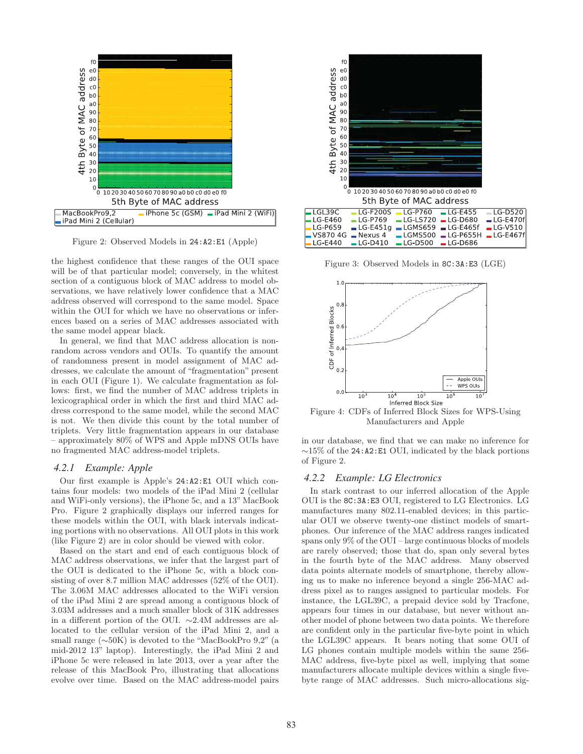

Figure 2: Observed Models in 24:A2:E1 (Apple)

the highest confidence that these ranges of the OUI space will be of that particular model; conversely, in the whitest section of a contiguous block of MAC address to model observations, we have relatively lower confidence that a MAC address observed will correspond to the same model. Space within the OUI for which we have no observations or inferences based on a series of MAC addresses associated with the same model appear black.

In general, we find that MAC address allocation is nonrandom across vendors and OUIs. To quantify the amount of randomness present in model assignment of MAC addresses, we calculate the amount of "fragmentation" present in each OUI (Figure 1). We calculate fragmentation as follows: first, we find the number of MAC address triplets in lexicographical order in which the first and third MAC address correspond to the same model, while the second MAC is not. We then divide this count by the total number of triplets. Very little fragmentation appears in our database – approximately 80% of WPS and Apple mDNS OUIs have no fragmented MAC address-model triplets.

#### *4.2.1 Example: Apple*

Our first example is Apple's 24:A2:E1 OUI which contains four models: two models of the iPad Mini 2 (cellular and WiFi-only versions), the iPhone 5c, and a 13" MacBook Pro. Figure 2 graphically displays our inferred ranges for these models within the OUI, with black intervals indicating portions with no observations. All OUI plots in this work (like Figure 2) are in color should be viewed with color.

Based on the start and end of each contiguous block of MAC address observations, we infer that the largest part of the OUI is dedicated to the iPhone 5c, with a block consisting of over 8.7 million MAC addresses (52% of the OUI). The 3.06M MAC addresses allocated to the WiFi version of the iPad Mini 2 are spread among a contiguous block of 3.03M addresses and a much smaller block of 31K addresses in a different portion of the OUI. ∼2.4M addresses are allocated to the cellular version of the iPad Mini 2, and a small range (∼50K) is devoted to the "MacBookPro 9,2" (a mid-2012 13" laptop). Interestingly, the iPad Mini 2 and iPhone 5c were released in late 2013, over a year after the release of this MacBook Pro, illustrating that allocations evolve over time. Based on the MAC address-model pairs



Figure 3: Observed Models in 8C:3A:E3 (LGE)



Figure 4: CDFs of Inferred Block Sizes for WPS-Using Manufacturers and Apple

in our database, we find that we can make no inference for ∼15% of the 24:A2:E1 OUI, indicated by the black portions of Figure 2.

#### *4.2.2 Example: LG Electronics*

In stark contrast to our inferred allocation of the Apple OUI is the 8C:3A:E3 OUI, registered to LG Electronics. LG manufactures many 802.11-enabled devices; in this particular OUI we observe twenty-one distinct models of smartphones. Our inference of the MAC address ranges indicated spans only 9% of the OUI – large continuous blocks of models are rarely observed; those that do, span only several bytes in the fourth byte of the MAC address. Many observed data points alternate models of smartphone, thereby allowing us to make no inference beyond a single 256-MAC address pixel as to ranges assigned to particular models. For instance, the LGL39C, a prepaid device sold by Tracfone, appears four times in our database, but never without another model of phone between two data points. We therefore are confident only in the particular five-byte point in which the LGL39C appears. It bears noting that some OUI of LG phones contain multiple models within the same 256- MAC address, five-byte pixel as well, implying that some manufacturers allocate multiple devices within a single fivebyte range of MAC addresses. Such micro-allocations sig-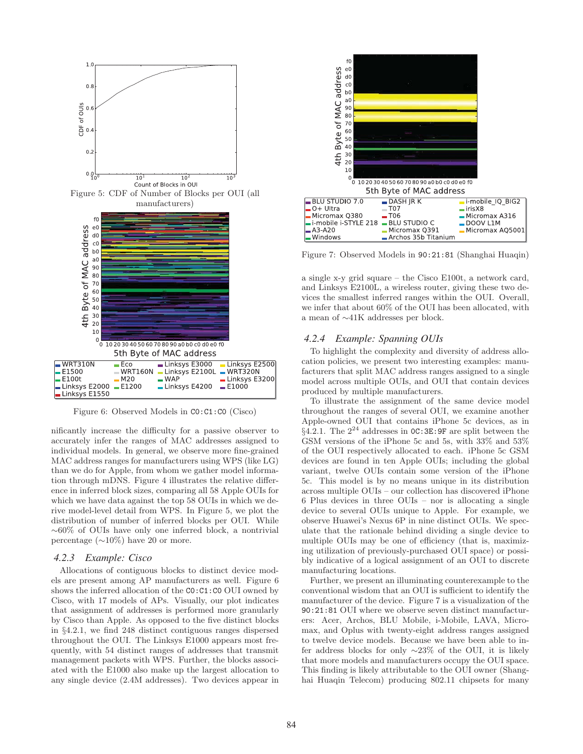

Figure 6: Observed Models in C0:C1:C0 (Cisco)

nificantly increase the difficulty for a passive observer to accurately infer the ranges of MAC addresses assigned to individual models. In general, we observe more fine-grained MAC address ranges for manufacturers using WPS (like LG) than we do for Apple, from whom we gather model information through mDNS. Figure 4 illustrates the relative difference in inferred block sizes, comparing all 58 Apple OUIs for which we have data against the top 58 OUIs in which we derive model-level detail from WPS. In Figure 5, we plot the distribution of number of inferred blocks per OUI. While ∼60% of OUIs have only one inferred block, a nontrivial percentage ( $\sim$ 10%) have 20 or more.

#### *4.2.3 Example: Cisco*

Allocations of contiguous blocks to distinct device models are present among AP manufacturers as well. Figure 6 shows the inferred allocation of the C0:C1:C0 OUI owned by Cisco, with 17 models of APs. Visually, our plot indicates that assignment of addresses is performed more granularly by Cisco than Apple. As opposed to the five distinct blocks in *§*4.2.1, we find 248 distinct contiguous ranges dispersed throughout the OUI. The Linksys E1000 appears most frequently, with 54 distinct ranges of addresses that transmit management packets with WPS. Further, the blocks associated with the E1000 also make up the largest allocation to any single device (2.4M addresses). Two devices appear in



Figure 7: Observed Models in 90:21:81 (Shanghai Huaqin)

a single x-y grid square – the Cisco E100t, a network card, and Linksys E2100L, a wireless router, giving these two devices the smallest inferred ranges within the OUI. Overall, we infer that about 60% of the OUI has been allocated, with a mean of ∼41K addresses per block.

#### *4.2.4 Example: Spanning OUIs*

To highlight the complexity and diversity of address allocation policies, we present two interesting examples: manufacturers that split MAC address ranges assigned to a single model across multiple OUIs, and OUI that contain devices produced by multiple manufacturers.

To illustrate the assignment of the same device model throughout the ranges of several OUI, we examine another Apple-owned OUI that contains iPhone 5c devices, as in  $\hat{\mathcal{S}}_4$ .2.1. The  $2^{24}$  addresses in  $OC:3E:9F$  are split between the GSM versions of the iPhone 5c and 5s, with 33% and 53% of the OUI respectively allocated to each. iPhone 5c GSM devices are found in ten Apple OUIs; including the global variant, twelve OUIs contain some version of the iPhone 5c. This model is by no means unique in its distribution across multiple OUIs – our collection has discovered iPhone 6 Plus devices in three OUIs – nor is allocating a single device to several OUIs unique to Apple. For example, we observe Huawei's Nexus 6P in nine distinct OUIs. We speculate that the rationale behind dividing a single device to multiple OUIs may be one of efficiency (that is, maximizing utilization of previously-purchased OUI space) or possibly indicative of a logical assignment of an OUI to discrete manufacturing locations.

Further, we present an illuminating counterexample to the conventional wisdom that an OUI is sufficient to identify the manufacturer of the device. Figure 7 is a visualization of the 90:21:81 OUI where we observe seven distinct manufacturers: Acer, Archos, BLU Mobile, i-Mobile, LAVA, Micromax, and Oplus with twenty-eight address ranges assigned to twelve device models. Because we have been able to infer address blocks for only ∼23% of the OUI, it is likely that more models and manufacturers occupy the OUI space. This finding is likely attributable to the OUI owner (Shanghai Huaqin Telecom) producing 802.11 chipsets for many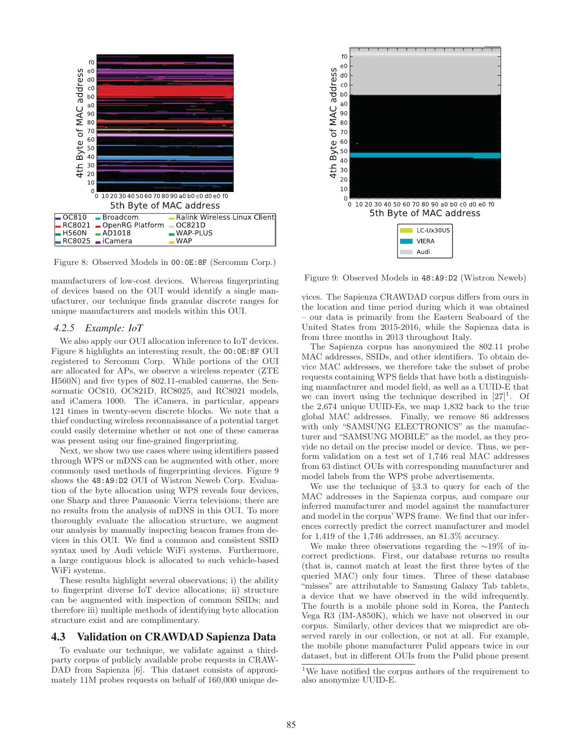

Figure 8: Observed Models in 00:0E:8F (Sercomm Corp.)

manufacturers of low-cost devices. Whereas fingerprinting of devices based on the OUI would identify a single manufacturer, our technique finds granular discrete ranges for unique manufacturers and models within this OUI.

#### *4.2.5 Example: IoT*

We also apply our OUI allocation inference to IoT devices. Figure 8 highlights an interesting result, the 00:0E:8F OUI registered to Sercomm Corp. While portions of the OUI are allocated for APs, we observe a wireless repeater (ZTE H560N) and five types of 802.11-enabled cameras, the Sensormatic OC810, OC821D, RC8025, and RC8021 models, and iCamera 1000. The iCamera, in particular, appears 121 times in twenty-seven discrete blocks. We note that a thief conducting wireless reconnaissance of a potential target could easily determine whether or not one of these cameras was present using our fine-grained fingerprinting.

Next, we show two use cases where using identifiers passed through WPS or mDNS can be augmented with other, more commonly used methods of fingerprinting devices. Figure 9 shows the 48:A9:D2 OUI of Wistron Neweb Corp. Evaluation of the byte allocation using WPS reveals four devices, one Sharp and three Panasonic Vierra televisions; there are no results from the analysis of mDNS in this OUI. To more thoroughly evaluate the allocation structure, we augment our analysis by manually inspecting beacon frames from devices in this OUI. We find a common and consistent SSID syntax used by Audi vehicle WiFi systems. Furthermore, a large contiguous block is allocated to such vehicle-based WiFi systems.

These results highlight several observations; i) the ability to fingerprint diverse IoT device allocations; ii) structure can be augmented with inspection of common SSIDs; and therefore iii) multiple methods of identifying byte allocation structure exist and are complimentary.

## 4.3 Validation on CRAWDAD Sapienza Data

To evaluate our technique, we validate against a thirdparty corpus of publicly available probe requests in CRAW-DAD from Sapienza [6]. This dataset consists of approximately 11M probes requests on behalf of 160,000 unique de-



Figure 9: Observed Models in 48:A9:D2 (Wistron Neweb)

vices. The Sapienza CRAWDAD corpus differs from ours in the location and time period during which it was obtained – our data is primarily from the Eastern Seaboard of the United States from 2015-2016, while the Sapienza data is from three months in 2013 throughout Italy.

The Sapienza corpus has anonymized the 802.11 probe MAC addresses, SSIDs, and other identifiers. To obtain device MAC addresses, we therefore take the subset of probe requests containing WPS fields that have both a distinguishing manufacturer and model field, as well as a UUID-E that we can invert using the technique described in  $[27]^1$ . Of the 2,674 unique UUID-Es, we map 1,832 back to the true global MAC addresses. Finally, we remove 86 addresses with only "SAMSUNG ELECTRONICS" as the manufacturer and "SAMSUNG MOBILE" as the model, as they provide no detail on the precise model or device. Thus, we perform validation on a test set of 1,746 real MAC addresses from 63 distinct OUIs with corresponding manufacturer and model labels from the WPS probe advertisements.

We use the technique of *§*3.3 to query for each of the MAC addresses in the Sapienza corpus, and compare our inferred manufacturer and model against the manufacturer and model in the corpus' WPS frame. We find that our inferences correctly predict the correct manufacturer and model for 1,419 of the 1,746 addresses, an 81.3% accuracy.

We make three observations regarding the ∼19% of incorrect predictions. First, our database returns no results (that is, cannot match at least the first three bytes of the queried MAC) only four times. Three of these database "misses" are attributable to Samsung Galaxy Tab tablets, a device that we have observed in the wild infrequently. The fourth is a mobile phone sold in Korea, the Pantech Vega R3 (IM-A850K), which we have not observed in our corpus. Similarly, other devices that we mispredict are observed rarely in our collection, or not at all. For example, the mobile phone manufacturer Pulid appears twice in our dataset, but in different OUIs from the Pulid phone present

<sup>1</sup>We have notified the corpus authors of the requirement to also anonymize UUID-E.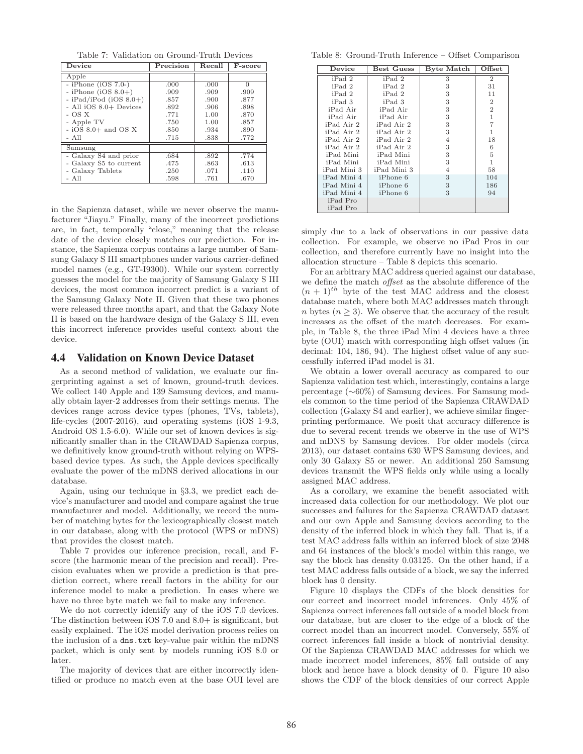Table 7: Validation on Ground-Truth Devices

| <b>Device</b>            | Precision | Recall | $\overline{\mathrm{F}}$ -score |
|--------------------------|-----------|--------|--------------------------------|
| Apple                    |           |        |                                |
| $-$ iPhone (iOS 7.0-)    | .000      | .000   | $\Omega$                       |
| - iPhone (iOS $8.0+)$    | .909      | .909   | .909                           |
| $-$ iPad/iPod (iOS 8.0+) | .857      | .900   | .877                           |
| - All iOS 8.0+ Devices   | .892      | .906   | .898                           |
| $-OSX$                   | .771      | 1.00   | .870                           |
| - Apple TV               | .750      | 1.00   | .857                           |
| $-$ iOS 8.0+ and OS X    | .850      | .934   | .890                           |
| - All                    | .715      | .838   | .772                           |
| Samsung                  |           |        |                                |
| - Galaxy S4 and prior    | .684      | .892   | .774                           |
| - Galaxy S5 to current   | .475      | .863   | .613                           |
| - Galaxy Tablets         | .250      | .071   | .110                           |
| - All                    | .598      | .761   | .670                           |

in the Sapienza dataset, while we never observe the manufacturer "Jiayu." Finally, many of the incorrect predictions are, in fact, temporally "close," meaning that the release date of the device closely matches our prediction. For instance, the Sapienza corpus contains a large number of Samsung Galaxy S III smartphones under various carrier-defined model names (e.g., GT-I9300). While our system correctly guesses the model for the majority of Samsung Galaxy S III devices, the most common incorrect predict is a variant of the Samsung Galaxy Note II. Given that these two phones were released three months apart, and that the Galaxy Note II is based on the hardware design of the Galaxy S III, even this incorrect inference provides useful context about the device.

#### 4.4 Validation on Known Device Dataset

As a second method of validation, we evaluate our fingerprinting against a set of known, ground-truth devices. We collect 140 Apple and 139 Samsung devices, and manually obtain layer-2 addresses from their settings menus. The devices range across device types (phones, TVs, tablets), life-cycles (2007-2016), and operating systems (iOS 1-9.3, Android OS 1.5-6.0). While our set of known devices is significantly smaller than in the CRAWDAD Sapienza corpus, we definitively know ground-truth without relying on WPSbased device types. As such, the Apple devices specifically evaluate the power of the mDNS derived allocations in our database.

Again, using our technique in *§*3.3, we predict each device's manufacturer and model and compare against the true manufacturer and model. Additionally, we record the number of matching bytes for the lexicographically closest match in our database, along with the protocol (WPS or mDNS) that provides the closest match.

Table 7 provides our inference precision, recall, and Fscore (the harmonic mean of the precision and recall). Precision evaluates when we provide a prediction is that prediction correct, where recall factors in the ability for our inference model to make a prediction. In cases where we have no three byte match we fail to make any inference.

We do not correctly identify any of the iOS 7.0 devices. The distinction between iOS 7.0 and 8.0+ is significant, but easily explained. The iOS model derivation process relies on the inclusion of a dns.txt key-value pair within the mDNS packet, which is only sent by models running iOS 8.0 or later.

The majority of devices that are either incorrectly identified or produce no match even at the base OUI level are

Table 8: Ground-Truth Inference – Offset Comparison

| Device      | <b>Best Guess</b> | Byte Match     | Offset         |
|-------------|-------------------|----------------|----------------|
| iPad 2      | iPad 2            | 3              | $\overline{2}$ |
| iPad 2      | iPad 2            | 3              | 31             |
| iPad 2      | iPad 2            | 3              | 11             |
| iPad 3      | iPad 3            | 3              | $\overline{2}$ |
| iPad Air    | iPad Air          | 3              | $\overline{2}$ |
| iPad Air    | iPad Air          | 3              | 1              |
| iPad Air 2  | iPad Air 2        | 3              | 7              |
| iPad Air 2  | iPad Air 2        | 3              | 1              |
| iPad Air 2  | iPad Air 2        | 4              | 18             |
| iPad Air 2  | iPad Air 2        | 3              | 6              |
| iPad Mini   | iPad Mini         | 3              | 5              |
| iPad Mini   | iPad Mini         | 3              | 1              |
| iPad Mini 3 | iPad Mini 3       | $\overline{4}$ | 58             |
| iPad Mini 4 | iPhone 6          | 3              | 104            |
| iPad Mini 4 | iPhone 6          | 3              | 186            |
| iPad Mini 4 | iPhone 6          | 3              | 94             |
| iPad Pro    |                   |                |                |
| iPad Pro    |                   |                |                |

simply due to a lack of observations in our passive data collection. For example, we observe no iPad Pros in our collection, and therefore currently have no insight into the allocation structure – Table 8 depicts this scenario.

For an arbitrary MAC address queried against our database, we define the match *o*ff*set* as the absolute difference of the  $(n + 1)$ <sup>th</sup> byte of the test MAC address and the closest database match, where both MAC addresses match through *n* bytes  $(n \geq 3)$ . We observe that the accuracy of the result increases as the offset of the match decreases. For example, in Table 8, the three iPad Mini 4 devices have a three byte (OUI) match with corresponding high offset values (in decimal: 104, 186, 94). The highest offset value of any successfully inferred iPad model is 31.

We obtain a lower overall accuracy as compared to our Sapienza validation test which, interestingly, contains a large percentage (∼60%) of Samsung devices. For Samsung models common to the time period of the Sapienza CRAWDAD collection (Galaxy S4 and earlier), we achieve similar fingerprinting performance. We posit that accuracy difference is due to several recent trends we observe in the use of WPS and mDNS by Samsung devices. For older models (circa 2013), our dataset contains 630 WPS Samsung devices, and only 30 Galaxy S5 or newer. An additional 250 Samsung devices transmit the WPS fields only while using a locally assigned MAC address.

As a corollary, we examine the benefit associated with increased data collection for our methodology. We plot our successes and failures for the Sapienza CRAWDAD dataset and our own Apple and Samsung devices according to the density of the inferred block in which they fall. That is, if a test MAC address falls within an inferred block of size 2048 and 64 instances of the block's model within this range, we say the block has density 0.03125. On the other hand, if a test MAC address falls outside of a block, we say the inferred block has 0 density.

Figure 10 displays the CDFs of the block densities for our correct and incorrect model inferences. Only 45% of Sapienza correct inferences fall outside of a model block from our database, but are closer to the edge of a block of the correct model than an incorrect model. Conversely, 55% of correct inferences fall inside a block of nontrivial density. Of the Sapienza CRAWDAD MAC addresses for which we made incorrect model inferences, 85% fall outside of any block and hence have a block density of 0. Figure 10 also shows the CDF of the block densities of our correct Apple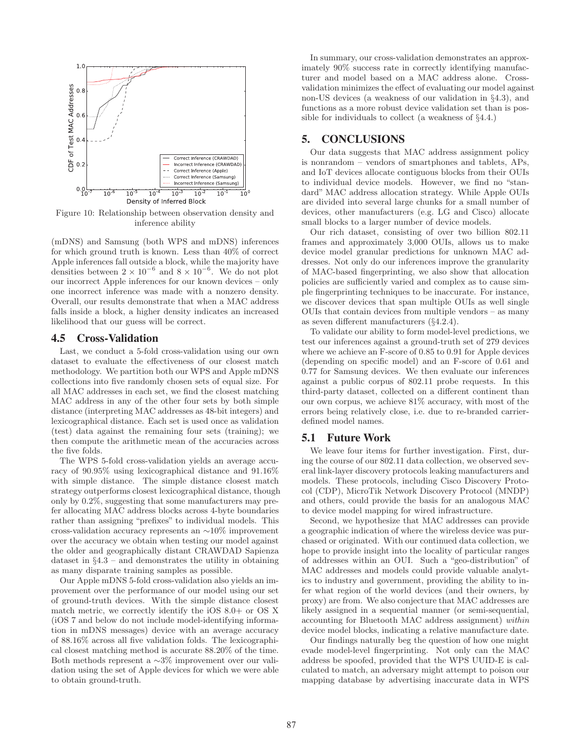

Figure 10: Relationship between observation density and inference ability

(mDNS) and Samsung (both WPS and mDNS) inferences for which ground truth is known. Less than 40% of correct Apple inferences fall outside a block, while the majority have densities between  $2 \times 10^{-6}$  and  $8 \times 10^{-6}$ . We do not plot our incorrect Apple inferences for our known devices – only one incorrect inference was made with a nonzero density. Overall, our results demonstrate that when a MAC address falls inside a block, a higher density indicates an increased likelihood that our guess will be correct.

#### 4.5 Cross-Validation

Last, we conduct a 5-fold cross-validation using our own dataset to evaluate the effectiveness of our closest match methodology. We partition both our WPS and Apple mDNS collections into five randomly chosen sets of equal size. For all MAC addresses in each set, we find the closest matching MAC address in any of the other four sets by both simple distance (interpreting MAC addresses as 48-bit integers) and lexicographical distance. Each set is used once as validation (test) data against the remaining four sets (training); we then compute the arithmetic mean of the accuracies across the five folds.

The WPS 5-fold cross-validation yields an average accuracy of 90.95% using lexicographical distance and 91.16% with simple distance. The simple distance closest match strategy outperforms closest lexicographical distance, though only by 0.2%, suggesting that some manufacturers may prefer allocating MAC address blocks across 4-byte boundaries rather than assigning "prefixes" to individual models. This cross-validation accuracy represents an ∼10% improvement over the accuracy we obtain when testing our model against the older and geographically distant CRAWDAD Sapienza dataset in *§*4.3 – and demonstrates the utility in obtaining as many disparate training samples as possible.

Our Apple mDNS 5-fold cross-validation also yields an improvement over the performance of our model using our set of ground-truth devices. With the simple distance closest match metric, we correctly identify the iOS 8.0+ or OS X (iOS 7 and below do not include model-identifying information in mDNS messages) device with an average accuracy of 88.16% across all five validation folds. The lexicographical closest matching method is accurate 88.20% of the time. Both methods represent a ∼3% improvement over our validation using the set of Apple devices for which we were able to obtain ground-truth.

In summary, our cross-validation demonstrates an approximately 90% success rate in correctly identifying manufacturer and model based on a MAC address alone. Crossvalidation minimizes the effect of evaluating our model against non-US devices (a weakness of our validation in *§*4.3), and functions as a more robust device validation set than is possible for individuals to collect (a weakness of *§*4.4.)

# 5. CONCLUSIONS

Our data suggests that MAC address assignment policy is nonrandom – vendors of smartphones and tablets, APs, and IoT devices allocate contiguous blocks from their OUIs to individual device models. However, we find no "standard" MAC address allocation strategy. While Apple OUIs are divided into several large chunks for a small number of devices, other manufacturers (e.g. LG and Cisco) allocate small blocks to a larger number of device models.

Our rich dataset, consisting of over two billion 802.11 frames and approximately 3,000 OUIs, allows us to make device model granular predictions for unknown MAC addresses. Not only do our inferences improve the granularity of MAC-based fingerprinting, we also show that allocation policies are sufficiently varied and complex as to cause simple fingerprinting techniques to be inaccurate. For instance, we discover devices that span multiple OUIs as well single OUIs that contain devices from multiple vendors – as many as seven different manufacturers (*§*4.2.4).

To validate our ability to form model-level predictions, we test our inferences against a ground-truth set of 279 devices where we achieve an F-score of 0.85 to 0.91 for Apple devices (depending on specific model) and an F-score of 0.61 and 0.77 for Samsung devices. We then evaluate our inferences against a public corpus of 802.11 probe requests. In this third-party dataset, collected on a different continent than our own corpus, we achieve 81% accuracy, with most of the errors being relatively close, i.e. due to re-branded carrierdefined model names.

# 5.1 Future Work

We leave four items for further investigation. First, during the course of our 802.11 data collection, we observed several link-layer discovery protocols leaking manufacturers and models. These protocols, including Cisco Discovery Protocol (CDP), MicroTik Network Discovery Protocol (MNDP) and others, could provide the basis for an analogous MAC to device model mapping for wired infrastructure.

Second, we hypothesize that MAC addresses can provide a geographic indication of where the wireless device was purchased or originated. With our continued data collection, we hope to provide insight into the locality of particular ranges of addresses within an OUI. Such a "geo-distribution" of MAC addresses and models could provide valuable analytics to industry and government, providing the ability to infer what region of the world devices (and their owners, by proxy) are from. We also conjecture that MAC addresses are likely assigned in a sequential manner (or semi-sequential, accounting for Bluetooth MAC address assignment) *within* device model blocks, indicating a relative manufacture date.

Our findings naturally beg the question of how one might evade model-level fingerprinting. Not only can the MAC address be spoofed, provided that the WPS UUID-E is calculated to match, an adversary might attempt to poison our mapping database by advertising inaccurate data in WPS